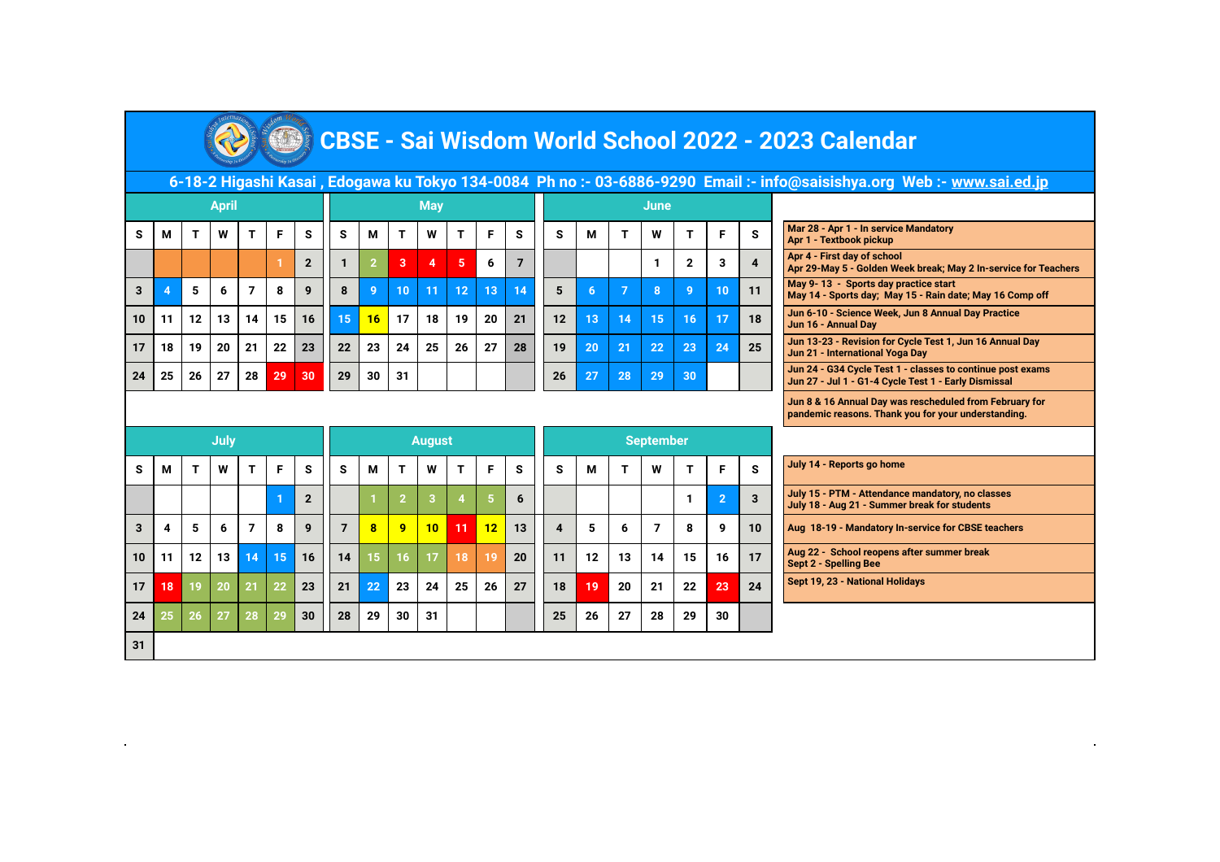

## **CBSE - Sai Wisdom World School 2022 - 2023 Calendar**

| 6-18-2 Higashi Kasai , Edogawa ku Tokyo 134-0084 Ph no :- 03-6886-9290 Email :- info@saisishya.org Web :- <u>www.sai.ed.jp</u> |  |
|--------------------------------------------------------------------------------------------------------------------------------|--|
|                                                                                                                                |  |

|                 |    |                 | <b>April</b> |    |    |    |    |    |    | <b>May</b> |    |    |    | June |    |    |              |    |    |    |                                                                                                                    |
|-----------------|----|-----------------|--------------|----|----|----|----|----|----|------------|----|----|----|------|----|----|--------------|----|----|----|--------------------------------------------------------------------------------------------------------------------|
| s               | М  |                 | W            | т  | F  | s  | s  | м  |    | W          |    | F  | s  | s    | м  |    | W            |    |    | s  | Mar 28 - Apr 1 - In service Mandatory<br>Apr 1 - Textbook pickup                                                   |
|                 |    |                 |              |    |    |    |    |    | 3  | 4          | 5  | 6  |    |      |    |    |              |    | 3  |    | Apr 4 - First day of school<br>Apr 29-May 5 - Golden Week break; May 2 In-service for Tea                          |
|                 |    |                 | 6            | 7  | 8  | 9  | 8  | 9  | 10 | 11         | 12 | 13 | 14 |      |    | 7  | $\mathbf{8}$ |    | 10 | 11 | May 9-13 - Sports day practice start<br>May 14 - Sports day; May 15 - Rain date; May 16 Comp off                   |
| 10 <sup>1</sup> | 11 | 12 <sub>1</sub> | 13           | 14 | 15 | 16 | 15 | 16 | 17 | 18         | 19 | 20 | 21 | 12   | 13 | 14 | 15           | 16 | 17 | 18 | Jun 6-10 - Science Week, Jun 8 Annual Day Practice<br>Jun 16 - Annual Day                                          |
| 17              | 18 | 19              | 20           | 21 | 22 | 23 | 22 | 23 | 24 | 25         | 26 | 27 | 28 | 19   | 20 | 21 | 22           | 23 | 24 | 25 | Jun 13-23 - Revision for Cycle Test 1, Jun 16 Annual Day<br>Jun 21 - International Yoga Day                        |
| 24              | 25 | 26              | 27           | 28 | 29 | 30 | 29 | 30 | 31 |            |    |    |    | 26   | 27 | 28 | 29           | 30 |    |    | Jun 24 - G34 Cycle Test 1 - classes to continue post exams<br>Jun 27 - Jul 1 - G1-4 Cycle Test 1 - Early Dismissal |
|                 |    |                 |              |    |    |    |    |    |    |            |    |    |    |      |    |    |              |    |    |    |                                                                                                                    |

|                |    |            |    | <b>May</b> |    |    |                |    |      |    | <b>June</b> |              |    |    |                                                                                                              |
|----------------|----|------------|----|------------|----|----|----------------|----|------|----|-------------|--------------|----|----|--------------------------------------------------------------------------------------------------------------|
| s              | s  | М          |    | W          |    | F  | s              | s  | м    |    | W           |              | F  | s  | Mar 28 - Apr 1 - In service Mandatory<br>Apr 1 - Textbook pickup                                             |
| $\overline{2}$ |    | $\sqrt{2}$ | 3  | 4          | 5  | 6  | $\overline{7}$ |    |      |    |             | $\mathbf{2}$ | 3  | 4  | Apr 4 - First day of school<br>Apr 29-May 5 - Golden Week break; May 2 In-service                            |
| 9              | 8  | 9          | 10 | 11         | 12 | 13 | 14             | 5  | 6    |    | 8           | -9           | 10 | 11 | May 9-13 - Sports day practice start<br>May 14 - Sports day; May 15 - Rain date; May 16 Cor                  |
| 16             | 15 | 16         | 17 | 18         | 19 | 20 | 21             | 12 | เ13' | 14 | 15          | 16           | 17 | 18 | Jun 6-10 - Science Week, Jun 8 Annual Day Practice<br>Jun 16 - Annual Day                                    |
| 23             | 22 | 23         | 24 | 25         | 26 | 27 | 28             | 19 | 20   | 21 | 22          | 23           | 24 | 25 | Jun 13-23 - Revision for Cycle Test 1, Jun 16 Annual<br>Jun 21 - International Yoga Day                      |
| 30             | 29 | 30         | 31 |            |    |    |                | 26 | 27   | 28 | 29          | 30           |    |    | Jun 24 - G34 Cycle Test 1 - classes to continue post<br>Jun 27 - Jul 1 - G1-4 Cycle Test 1 - Early Dismissal |
|                |    |            |    |            |    |    |                |    |      |    |             |              |    |    |                                                                                                              |

| Mar 28 - Apr 1 - In service Mandatory<br>Apr 1 - Textbook pickup                               |
|------------------------------------------------------------------------------------------------|
| Apr 4 - First day of school<br>Apr 29-May 5 - Golden Week break; May 2 In-service for Teachers |
| May 9-13 - Sports day practice start                                                           |

22 **Jun 8 & 16 Annual Day was rescheduled from February for pandemic reasons. Thank you for your understanding.** 

|    |    |    | July |    |    |                |                |    |              | <b>August</b> |    |    |    | <b>September</b> |    |    |    |    |                |    |  |  |
|----|----|----|------|----|----|----------------|----------------|----|--------------|---------------|----|----|----|------------------|----|----|----|----|----------------|----|--|--|
| s  | М  | Т  | W    | т  | F  | S              | s              | M  | т            | W             | т  | F  | s  | S                | M  | Т  | W  | т  | F              | S  |  |  |
|    |    |    |      |    | 1  | $\overline{2}$ |                |    | $\mathbf{2}$ | 3             | 4  | 5  | 6  |                  |    |    |    | 1  | $\overline{2}$ | 3  |  |  |
| 3  | 4  | 5  | 6    | 7  | 8  | 9              | $\overline{7}$ | 8  | 9            | 10            | 11 | 12 | 13 | 4                | 5  | 6  | 7  | 8  | 9              | 10 |  |  |
| 10 | 11 | 12 | 13   | 14 | 15 | 16             | 14             | 15 | 16           | 17            | 18 | 19 | 20 | 11               | 12 | 13 | 14 | 15 | 16             | 17 |  |  |
| 17 | 18 | 19 | 20   | 21 | 22 | 23             | 21             | 22 | 23           | 24            | 25 | 26 | 27 | 18               | 19 | 20 | 21 | 22 | 23             | 24 |  |  |
| 24 | 25 | 26 | 27   | 28 | 29 | 30             | 28             | 29 | 30           | 31            |    |    |    | 25               | 26 | 27 | 28 | 29 | 30             |    |  |  |
| 31 |    |    |      |    |    |                |                |    |              |               |    |    |    |                  |    |    |    |    |                |    |  |  |

| July 14 - Reports go home |  |
|---------------------------|--|
|---------------------------|--|

**July 15 - PTM - Attendance mandatory, no classes July 18 - Aug 21 - Summer break for students**

Aug 18-19 - Mandatory In-service for CBSE teachers

Aug 22 - School reopens after summer break **Sept 2 - Spelling Bee** 

Sept 19, 23 - National Holidays